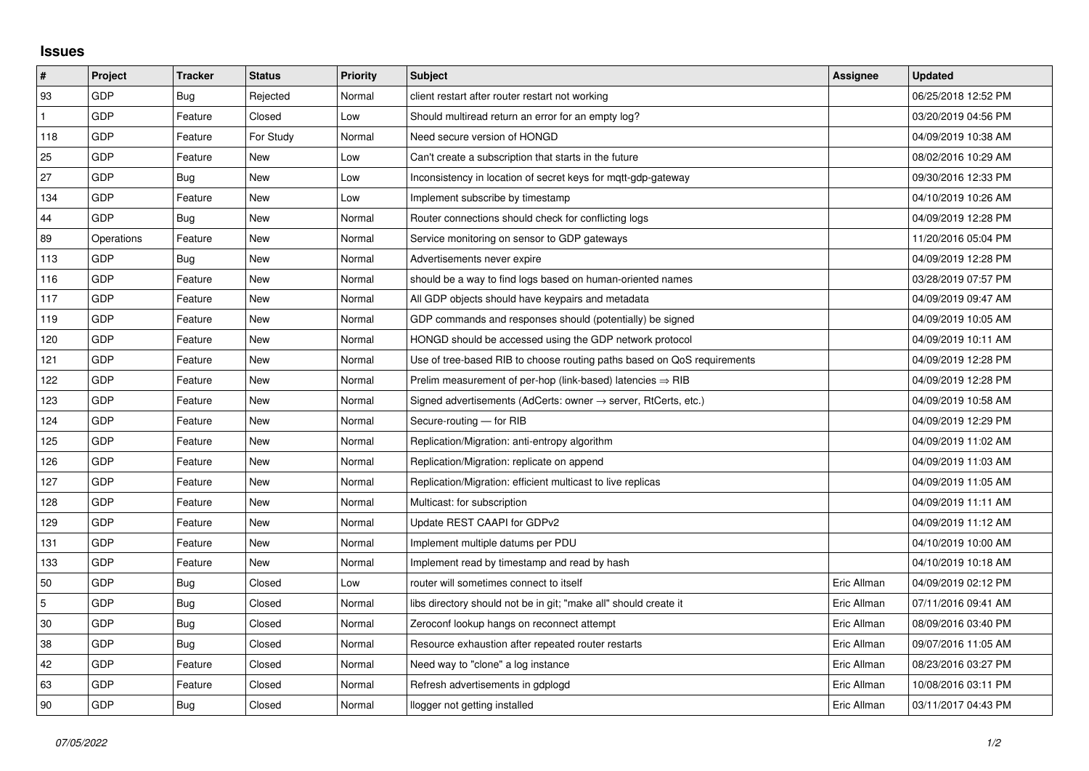## **Issues**

| $\sharp$       | Project    | <b>Tracker</b> | <b>Status</b> | <b>Priority</b> | <b>Subject</b>                                                             | <b>Assignee</b> | <b>Updated</b>      |
|----------------|------------|----------------|---------------|-----------------|----------------------------------------------------------------------------|-----------------|---------------------|
| 93             | GDP        | Bug            | Rejected      | Normal          | client restart after router restart not working                            |                 | 06/25/2018 12:52 PM |
| $\mathbf{1}$   | GDP        | Feature        | Closed        | Low             | Should multiread return an error for an empty log?                         |                 | 03/20/2019 04:56 PM |
| 118            | GDP        | Feature        | For Study     | Normal          | Need secure version of HONGD                                               |                 | 04/09/2019 10:38 AM |
| 25             | GDP        | Feature        | New           | Low             | Can't create a subscription that starts in the future                      |                 | 08/02/2016 10:29 AM |
| 27             | GDP        | Bug            | <b>New</b>    | Low             | Inconsistency in location of secret keys for mgtt-gdp-gateway              |                 | 09/30/2016 12:33 PM |
| 134            | GDP        | Feature        | <b>New</b>    | Low             | Implement subscribe by timestamp                                           |                 | 04/10/2019 10:26 AM |
| 44             | GDP        | Bug            | New           | Normal          | Router connections should check for conflicting logs                       |                 | 04/09/2019 12:28 PM |
| 89             | Operations | Feature        | New           | Normal          | Service monitoring on sensor to GDP gateways                               |                 | 11/20/2016 05:04 PM |
| 113            | GDP        | Bug            | New           | Normal          | Advertisements never expire                                                |                 | 04/09/2019 12:28 PM |
| 116            | GDP        | Feature        | <b>New</b>    | Normal          | should be a way to find logs based on human-oriented names                 |                 | 03/28/2019 07:57 PM |
| 117            | GDP        | Feature        | New           | Normal          | All GDP objects should have keypairs and metadata                          |                 | 04/09/2019 09:47 AM |
| 119            | GDP        | Feature        | New           | Normal          | GDP commands and responses should (potentially) be signed                  |                 | 04/09/2019 10:05 AM |
| 120            | GDP        | Feature        | New           | Normal          | HONGD should be accessed using the GDP network protocol                    |                 | 04/09/2019 10:11 AM |
| 121            | GDP        | Feature        | New           | Normal          | Use of tree-based RIB to choose routing paths based on QoS requirements    |                 | 04/09/2019 12:28 PM |
| 122            | <b>GDP</b> | Feature        | New           | Normal          | Prelim measurement of per-hop (link-based) latencies $\Rightarrow$ RIB     |                 | 04/09/2019 12:28 PM |
| 123            | GDP        | Feature        | New           | Normal          | Signed advertisements (AdCerts: owner $\rightarrow$ server, RtCerts, etc.) |                 | 04/09/2019 10:58 AM |
| 124            | GDP        | Feature        | New           | Normal          | Secure-routing - for RIB                                                   |                 | 04/09/2019 12:29 PM |
| 125            | GDP        | Feature        | New           | Normal          | Replication/Migration: anti-entropy algorithm                              |                 | 04/09/2019 11:02 AM |
| 126            | GDP        | Feature        | New           | Normal          | Replication/Migration: replicate on append                                 |                 | 04/09/2019 11:03 AM |
| 127            | GDP        | Feature        | New           | Normal          | Replication/Migration: efficient multicast to live replicas                |                 | 04/09/2019 11:05 AM |
| 128            | GDP        | Feature        | <b>New</b>    | Normal          | Multicast: for subscription                                                |                 | 04/09/2019 11:11 AM |
| 129            | GDP        | Feature        | <b>New</b>    | Normal          | Update REST CAAPI for GDPv2                                                |                 | 04/09/2019 11:12 AM |
| 131            | GDP        | Feature        | New           | Normal          | Implement multiple datums per PDU                                          |                 | 04/10/2019 10:00 AM |
| 133            | GDP        | Feature        | <b>New</b>    | Normal          | Implement read by timestamp and read by hash                               |                 | 04/10/2019 10:18 AM |
| 50             | GDP        | Bug            | Closed        | Low             | router will sometimes connect to itself                                    | Eric Allman     | 04/09/2019 02:12 PM |
| $\overline{5}$ | GDP        | Bug            | Closed        | Normal          | libs directory should not be in git; "make all" should create it           | Eric Allman     | 07/11/2016 09:41 AM |
| 30             | GDP        | Bug            | Closed        | Normal          | Zeroconf lookup hangs on reconnect attempt                                 | Eric Allman     | 08/09/2016 03:40 PM |
| 38             | GDP        | Bug            | Closed        | Normal          | Resource exhaustion after repeated router restarts                         | Eric Allman     | 09/07/2016 11:05 AM |
| 42             | GDP        | Feature        | Closed        | Normal          | Need way to "clone" a log instance                                         | Eric Allman     | 08/23/2016 03:27 PM |
| 63             | GDP        | Feature        | Closed        | Normal          | Refresh advertisements in gdplogd                                          | Eric Allman     | 10/08/2016 03:11 PM |
| 90             | GDP        | Bug            | Closed        | Normal          | llogger not getting installed                                              | Eric Allman     | 03/11/2017 04:43 PM |